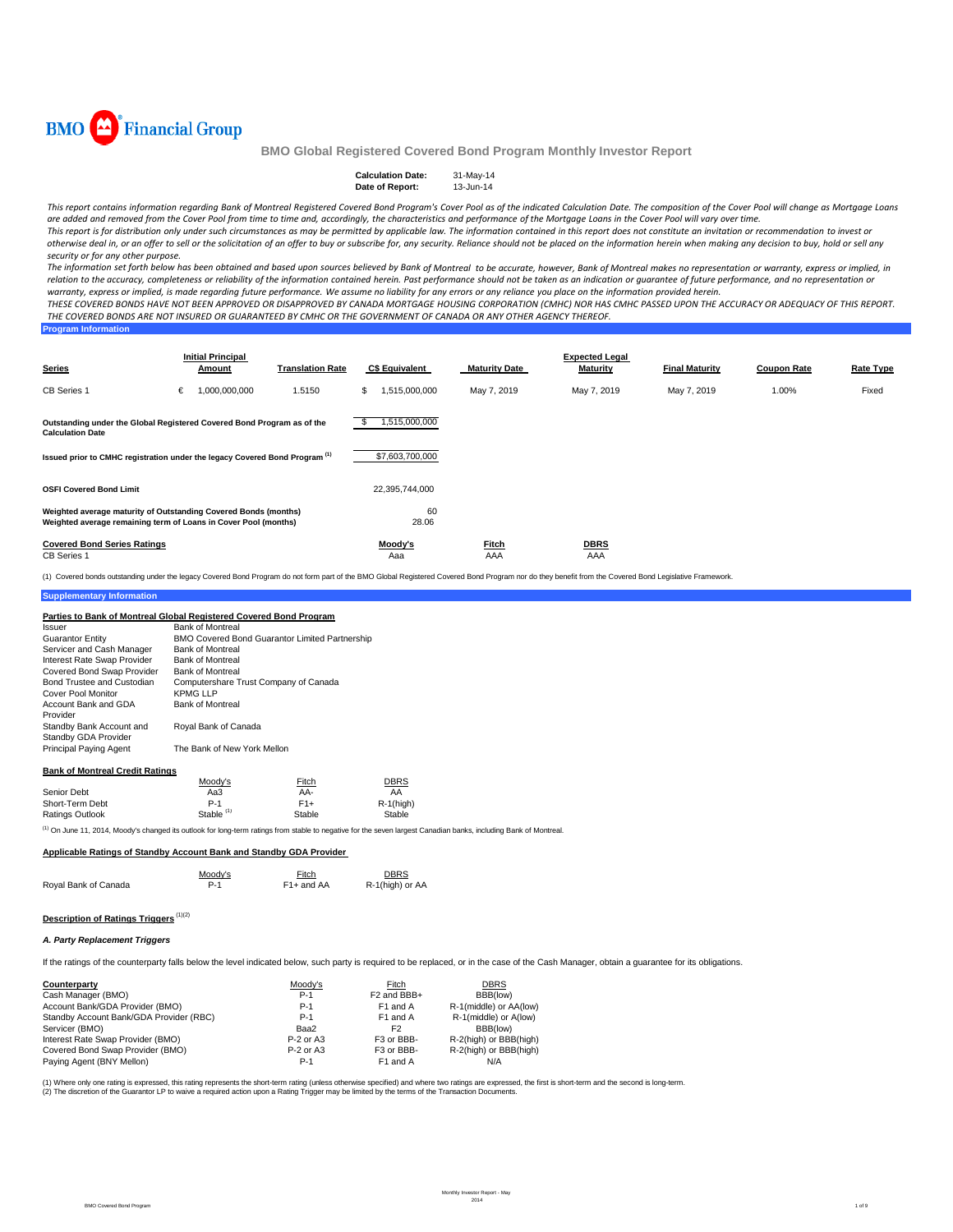

| <b>Calculation Date:</b> | 31-May-14 |
|--------------------------|-----------|
| Date of Report:          | 13-Jun-14 |

This report contains information regarding Bank of Montreal Registered Covered Bond Program's Cover Pool as of the indicated Calculation Date. The composition of the Cover Pool will change as Mortgage Loans are added and removed from the Cover Pool from time to time and, accordingly, the characteristics and performance of the Mortgage Loans in the Cover Pool will vary over time. This report is for distribution only under such circumstances as may be permitted by applicable law. The information contained in this report does not constitute an invitation or recommendation to invest or

otherwise deal in, or an offer to sell or the solicitation of an offer to buy or subscribe for, any security. Reliance should not be placed on the information herein when making any decision to buy, hold or sell any *security or for any other purpose.*

The information set forth below has been obtained and based upon sources believed by Bank of Montreal to be accurate, however, Bank of Montreal makes no representation or warranty, express or implied, in relation to the accuracy, completeness or reliability of the information contained herein. Past performance should not be taken as an indication or guarantee of future performance, and no representation or warranty, express or implied, is made regarding future performance. We assume no liability for any errors or any reliance you place on the information provided herein.

THESE COVERED BONDS HAVE NOT BEEN APPROVED OR DISAPPROVED BY CANADA MORTGAGE HOUSING CORPORATION (CMHC) NOR HAS CMHC PASSED UPON THE ACCURACY OR ADEQUACY OF THIS REPORT. THE COVERED BONDS ARE NOT INSURED OR GUARANTEED BY CMHC OR THE GOVERNMENT OF CANADA OR ANY OTHER AGENCY THEREOF.

| <b>Program Information</b> |  |  |
|----------------------------|--|--|
|                            |  |  |
|                            |  |  |

| <b>Series</b>                                                                                                                      | <b>Initial Principal</b><br>Amount | <b>Translation Rate</b> | <b>C\$ Equivalent</b> | <b>Maturity Date</b> | <b>Expected Legal</b><br><b>Maturity</b> | <b>Final Maturity</b> | <b>Coupon Rate</b> | <b>Rate Type</b> |
|------------------------------------------------------------------------------------------------------------------------------------|------------------------------------|-------------------------|-----------------------|----------------------|------------------------------------------|-----------------------|--------------------|------------------|
| <b>CB</b> Series 1                                                                                                                 | 1,000,000,000<br>€                 | 1.5150                  | 1,515,000,000<br>\$   | May 7, 2019          | May 7, 2019                              | May 7, 2019           | 1.00%              | Fixed            |
| Outstanding under the Global Registered Covered Bond Program as of the<br><b>Calculation Date</b>                                  |                                    |                         | 1,515,000,000<br>\$   |                      |                                          |                       |                    |                  |
| Issued prior to CMHC registration under the legacy Covered Bond Program (1)                                                        |                                    |                         | \$7,603,700,000       |                      |                                          |                       |                    |                  |
| <b>OSFI Covered Bond Limit</b>                                                                                                     |                                    |                         | 22,395,744,000        |                      |                                          |                       |                    |                  |
| Weighted average maturity of Outstanding Covered Bonds (months)<br>Weighted average remaining term of Loans in Cover Pool (months) |                                    |                         | 60<br>28.06           |                      |                                          |                       |                    |                  |
| <b>Covered Bond Series Ratings</b><br><b>CB Series 1</b>                                                                           |                                    |                         | Moody's<br>Aaa        | <b>Fitch</b><br>AAA  | <b>DBRS</b><br>AAA                       |                       |                    |                  |

(1) Covered bonds outstanding under the legacy Covered Bond Program do not form part of the BMO Global Registered Covered Bond Program nor do they benefit from the Covered Bond Legislative Framework.

#### **Supplementary Information**

| Parties to Bank of Montreal Global Registered Covered Bond Program |                                                       |             |             |  |
|--------------------------------------------------------------------|-------------------------------------------------------|-------------|-------------|--|
| Issuer                                                             | <b>Bank of Montreal</b>                               |             |             |  |
| <b>Guarantor Entity</b>                                            | <b>BMO Covered Bond Guarantor Limited Partnership</b> |             |             |  |
| Servicer and Cash Manager                                          | <b>Bank of Montreal</b>                               |             |             |  |
| Interest Rate Swap Provider                                        | <b>Bank of Montreal</b>                               |             |             |  |
| Covered Bond Swap Provider                                         | <b>Bank of Montreal</b>                               |             |             |  |
| Bond Trustee and Custodian                                         | Computershare Trust Company of Canada                 |             |             |  |
| Cover Pool Monitor                                                 | <b>KPMG LLP</b>                                       |             |             |  |
| Account Bank and GDA                                               | <b>Bank of Montreal</b>                               |             |             |  |
| Provider                                                           |                                                       |             |             |  |
| Standby Bank Account and                                           | Royal Bank of Canada                                  |             |             |  |
| Standby GDA Provider                                               |                                                       |             |             |  |
| <b>Principal Paying Agent</b>                                      | The Bank of New York Mellon                           |             |             |  |
| <b>Bank of Montreal Credit Ratings</b>                             |                                                       |             |             |  |
|                                                                    | Moody's                                               | Fitch       | <b>DBRS</b> |  |
| Senior Debt                                                        | Aa3                                                   | AA-         | AA          |  |
| Chart Tarm Daht                                                    | D <sub>4</sub>                                        | <b>E4</b> + | D 4/hish    |  |

|                 | <b>NOUGVS</b>         | <b>FILGH</b> | <b>UDRO</b>  |  |
|-----------------|-----------------------|--------------|--------------|--|
| Senior Debt     | АаЗ                   | AA-          | AA           |  |
| Short-Term Debt | $P-1$                 | $F1+$        | $R-1$ (high) |  |
| Ratings Outlook | Stable <sup>(1)</sup> | Stable       | Stable       |  |
|                 |                       |              |              |  |

(1) On June 11, 2014, Moody's changed its outlook for long-term ratings from stable to negative for the seven largest Canadian banks, including Bank of Montreal.

#### **Applicable Ratings of Standby Account Bank and Standby GDA Provider**

|                      | Moody's | Fitch      | <b>DBRS</b>     |
|----------------------|---------|------------|-----------------|
| Royal Bank of Canada | P-1     | F1+ and AA | R-1(high) or AA |

# **Description of Ratings Triggers** (1)(2)

### *A. Party Replacement Triggers*

If the ratings of the counterparty falls below the level indicated below, such party is required to be replaced, or in the case of the Cash Manager, obtain a guarantee for its obligations.

| Counterparty                            | Moody's     | Fitch                   | <b>DBRS</b>            |
|-----------------------------------------|-------------|-------------------------|------------------------|
| Cash Manager (BMO)                      | $P-1$       | F <sub>2</sub> and BBB+ | BBB(low)               |
| Account Bank/GDA Provider (BMO)         | $P-1$       | F1 and A                | R-1(middle) or AA(low) |
| Standby Account Bank/GDA Provider (RBC) | $P-1$       | F <sub>1</sub> and A    | R-1(middle) or A(low)  |
| Servicer (BMO)                          | Baa2        | F2                      | BBB(low)               |
| Interest Rate Swap Provider (BMO)       | $P-2$ or A3 | F3 or BBB-              | R-2(high) or BBB(high) |
| Covered Bond Swap Provider (BMO)        | $P-2$ or A3 | F3 or BBB-              | R-2(high) or BBB(high) |
| Paying Agent (BNY Mellon)               | P-1         | F1 and A                | N/A                    |

(1) Where only one rating is expressed, this rating represents the short-term rating (unless otherwise specified) and where two ratings are expressed, the first is short-term and the second is long-term. (2) The discretion of the Guarantor LP to waive a required action upon a Rating Trigger may be limited by the terms of the Transaction Documents.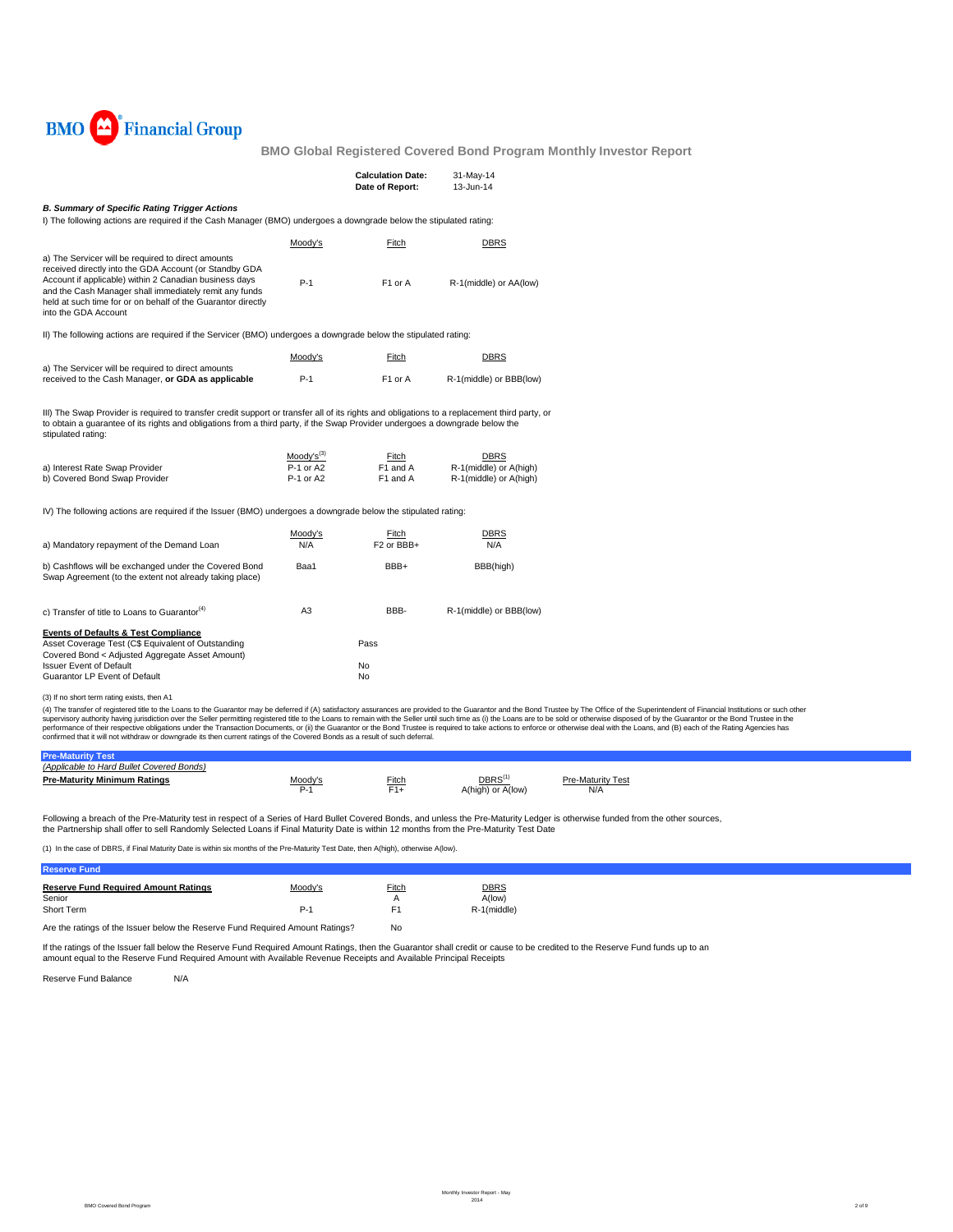

|                                                                                                                                                                                                                                                                                                                          |                                                  | <b>Calculation Date:</b><br>Date of Report: | 31-May-14<br>13-Jun-14                                   |  |
|--------------------------------------------------------------------------------------------------------------------------------------------------------------------------------------------------------------------------------------------------------------------------------------------------------------------------|--------------------------------------------------|---------------------------------------------|----------------------------------------------------------|--|
| <b>B. Summary of Specific Rating Trigger Actions</b><br>I) The following actions are required if the Cash Manager (BMO) undergoes a downgrade below the stipulated rating:                                                                                                                                               |                                                  |                                             |                                                          |  |
|                                                                                                                                                                                                                                                                                                                          | Moody's                                          | Fitch                                       | <b>DBRS</b>                                              |  |
| a) The Servicer will be required to direct amounts<br>received directly into the GDA Account (or Standby GDA<br>Account if applicable) within 2 Canadian business days<br>and the Cash Manager shall immediately remit any funds<br>held at such time for or on behalf of the Guarantor directly<br>into the GDA Account | $P-1$                                            | F1 or A                                     | R-1(middle) or AA(low)                                   |  |
| II) The following actions are required if the Servicer (BMO) undergoes a downgrade below the stipulated rating:                                                                                                                                                                                                          |                                                  |                                             |                                                          |  |
|                                                                                                                                                                                                                                                                                                                          | Moody's                                          | Fitch                                       | <b>DBRS</b>                                              |  |
| a) The Servicer will be required to direct amounts<br>received to the Cash Manager, or GDA as applicable                                                                                                                                                                                                                 | $P-1$                                            | F1 or A                                     | R-1(middle) or BBB(low)                                  |  |
| III) The Swap Provider is required to transfer credit support or transfer all of its rights and obligations to a replacement third party, or<br>to obtain a quarantee of its rights and obligations from a third party, if the Swap Provider undergoes a downgrade below the<br>stipulated rating:                       |                                                  |                                             |                                                          |  |
| a) Interest Rate Swap Provider<br>b) Covered Bond Swap Provider                                                                                                                                                                                                                                                          | Moody's <sup>(3)</sup><br>P-1 or A2<br>P-1 or A2 | Fitch<br>F1 and A<br>F1 and A               | DBRS<br>R-1(middle) or A(high)<br>R-1(middle) or A(high) |  |
| IV) The following actions are required if the Issuer (BMO) undergoes a downgrade below the stipulated rating:                                                                                                                                                                                                            |                                                  |                                             |                                                          |  |
| a) Mandatory repayment of the Demand Loan                                                                                                                                                                                                                                                                                | Moody's<br>N/A                                   | Fitch<br>F <sub>2</sub> or BBB+             | DBRS<br>N/A                                              |  |
| b) Cashflows will be exchanged under the Covered Bond<br>Swap Agreement (to the extent not already taking place)                                                                                                                                                                                                         | Baa1                                             | BBB+                                        | BBB(high)                                                |  |
| c) Transfer of title to Loans to Guarantor <sup>(4)</sup>                                                                                                                                                                                                                                                                | A <sub>3</sub>                                   | BBB-                                        | R-1(middle) or BBB(low)                                  |  |
| Events of Defaults & Test Compliance<br>Asset Coverage Test (C\$ Equivalent of Outstanding<br>Covered Bond < Adjusted Aggregate Asset Amount)<br><b>Issuer Event of Default</b><br>Guarantor LP Event of Default                                                                                                         |                                                  | Pass<br>No<br>No                            |                                                          |  |
| (3) If no short term rating exists, then A1<br>. According of contractor distinguished to consist the Occupations                                                                                                                                                                                                        |                                                  |                                             |                                                          |  |

(3) If no short term rating exists, then A1<br>(4) The transfer of registered title othe Loans to the Guarantor may be deferred if (A) satisfactory assurances are provided to the Guarantor and the Bond Trustee by The Office o

| (Applicable to Hard Bullet Covered Bonds) |         |                         |                                         |                                 |  |
|-------------------------------------------|---------|-------------------------|-----------------------------------------|---------------------------------|--|
| <b>Pre-Maturity Minimum Ratings</b>       | Moody's | Fitch<br>$\sim$<br>- 11 | DBRS <sup>(1</sup><br>A(high) or A(low) | <b>Pre-Maturity Test</b><br>N/A |  |

Following a breach of the Pre-Maturity test in respect of a Series of Hard Bullet Covered Bonds, and unless the Pre-Maturity Ledger is otherwise funded from the other sources,

the Partnership shall offer to sell Randomly Selected Loans if Final Maturity Date is within 12 months from the Pre-Maturity Test Date

(1) In the case of DBRS, if Final Maturity Date is within six months of the Pre-Maturity Test Date, then A(high), otherwise A(low).

| <b>Reserve Fund</b>                                                           |         |       |             |
|-------------------------------------------------------------------------------|---------|-------|-------------|
| <b>Reserve Fund Required Amount Ratings</b>                                   | Moody's | Fitch | DBRS        |
| Senior                                                                        |         |       | A(low)      |
| Short Term                                                                    | P-1     | F1    | R-1(middle) |
| Are the ratings of the Issuer below the Reserve Fund Required Amount Ratings? | No      |       |             |

lf the ratings of the Issuer fall below the Reserve Fund Required Amount Ratings, then the Guarantor shall credit cr cause to be credited to the Reserve Fund funds up to an<br>amount equal to the Reserve Fund Required Amount

Reserve Fund Balance N/A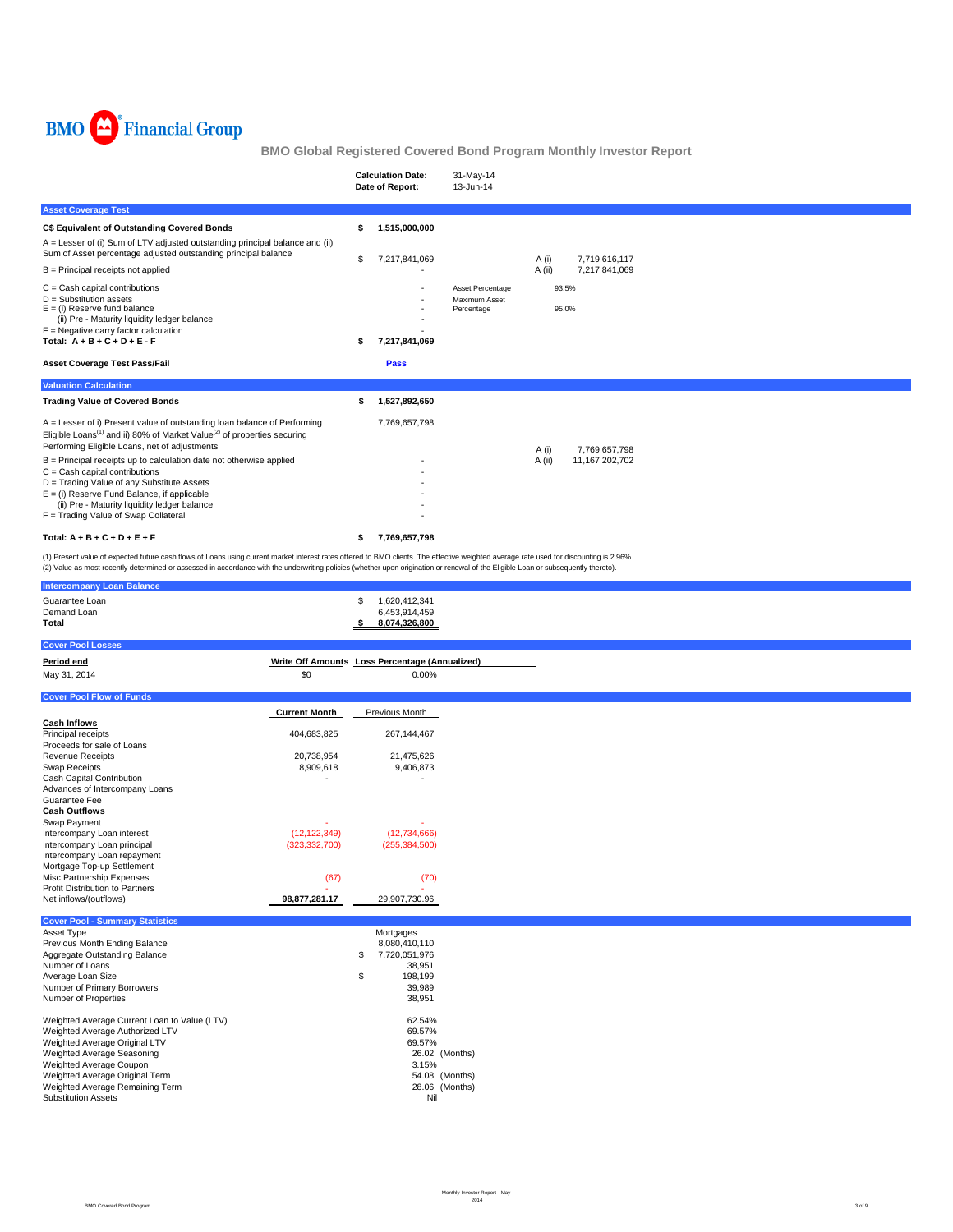

|                                                                                                                                                                                                                                                                                                                                                                              |                                   | <b>Calculation Date:</b><br>Date of Report:                                                      | 31-May-14<br>13-Jun-14                             |                          |  |
|------------------------------------------------------------------------------------------------------------------------------------------------------------------------------------------------------------------------------------------------------------------------------------------------------------------------------------------------------------------------------|-----------------------------------|--------------------------------------------------------------------------------------------------|----------------------------------------------------|--------------------------|--|
| <b>Asset Coverage Test</b>                                                                                                                                                                                                                                                                                                                                                   |                                   |                                                                                                  |                                                    |                          |  |
| C\$ Equivalent of Outstanding Covered Bonds                                                                                                                                                                                                                                                                                                                                  |                                   | \$<br>1,515,000,000                                                                              |                                                    |                          |  |
| A = Lesser of (i) Sum of LTV adjusted outstanding principal balance and (ii)<br>Sum of Asset percentage adjusted outstanding principal balance                                                                                                                                                                                                                               |                                   | \$<br>7,217,841,069                                                                              |                                                    | 7,719,616,117<br>A (i)   |  |
| $B =$ Principal receipts not applied                                                                                                                                                                                                                                                                                                                                         |                                   |                                                                                                  |                                                    | A (ii)<br>7,217,841,069  |  |
| $C =$ Cash capital contributions<br>$D =$ Substitution assets<br>$E = (i)$ Reserve fund balance<br>(ii) Pre - Maturity liquidity ledger balance<br>$F =$ Negative carry factor calculation<br>Total: $A + B + C + D + E - F$                                                                                                                                                 |                                   | 7,217,841,069<br>\$                                                                              | Asset Percentage<br>Maximum Asset<br>Percentage    | 93.5%<br>95.0%           |  |
| <b>Asset Coverage Test Pass/Fail</b>                                                                                                                                                                                                                                                                                                                                         |                                   | <b>Pass</b>                                                                                      |                                                    |                          |  |
| <b>Valuation Calculation</b>                                                                                                                                                                                                                                                                                                                                                 |                                   |                                                                                                  |                                                    |                          |  |
| <b>Trading Value of Covered Bonds</b>                                                                                                                                                                                                                                                                                                                                        |                                   | 1,527,892,650<br>\$                                                                              |                                                    |                          |  |
| A = Lesser of i) Present value of outstanding loan balance of Performing<br>Eligible Loans <sup>(1)</sup> and ii) 80% of Market Value <sup>(2)</sup> of properties securing<br>Performing Eligible Loans, net of adjustments                                                                                                                                                 |                                   | 7,769,657,798                                                                                    |                                                    | A (i)<br>7,769,657,798   |  |
| B = Principal receipts up to calculation date not otherwise applied<br>$C =$ Cash capital contributions<br>D = Trading Value of any Substitute Assets<br>$E =$ (i) Reserve Fund Balance, if applicable<br>(ii) Pre - Maturity liquidity ledger balance<br>F = Trading Value of Swap Collateral                                                                               |                                   |                                                                                                  |                                                    | A (ii)<br>11,167,202,702 |  |
| Total: $A + B + C + D + E + F$                                                                                                                                                                                                                                                                                                                                               |                                   | 7,769,657,798<br>\$                                                                              |                                                    |                          |  |
| (1) Present value of expected future cash flows of Loans using current market interest rates offered to BMO clients. The effective weighted average rate used for discounting is 2.96%<br>(2) Value as most recently determined or assessed in accordance with the underwriting policies (whether upon origination or renewal of the Eligible Loan or subsequently thereto). |                                   |                                                                                                  |                                                    |                          |  |
| <b>Intercompany Loan Balance</b><br>Guarantee Loan                                                                                                                                                                                                                                                                                                                           |                                   |                                                                                                  |                                                    |                          |  |
| Demand Loan<br>Total                                                                                                                                                                                                                                                                                                                                                         |                                   | \$<br>1,620,412,341<br>6,453,914,459<br>8,074,326,800<br>\$                                      |                                                    |                          |  |
| <b>Cover Pool Losses</b>                                                                                                                                                                                                                                                                                                                                                     |                                   |                                                                                                  |                                                    |                          |  |
| Period end<br>May 31, 2014                                                                                                                                                                                                                                                                                                                                                   | \$0                               | Write Off Amounts Loss Percentage (Annualized)<br>0.00%                                          |                                                    |                          |  |
| <b>Cover Pool Flow of Funds</b>                                                                                                                                                                                                                                                                                                                                              |                                   |                                                                                                  |                                                    |                          |  |
|                                                                                                                                                                                                                                                                                                                                                                              | <b>Current Month</b>              | Previous Month                                                                                   |                                                    |                          |  |
| <b>Cash Inflows</b><br>Principal receipts                                                                                                                                                                                                                                                                                                                                    | 404,683,825                       | 267, 144, 467                                                                                    |                                                    |                          |  |
| Proceeds for sale of Loans<br>Revenue Receipts<br>Swap Receipts<br>Cash Capital Contribution                                                                                                                                                                                                                                                                                 | 20,738,954<br>8,909,618           | 21,475,626<br>9,406,873                                                                          |                                                    |                          |  |
| Advances of Intercompany Loans<br>Guarantee Fee<br><b>Cash Outflows</b><br>Swap Payment                                                                                                                                                                                                                                                                                      |                                   |                                                                                                  |                                                    |                          |  |
| Intercompany Loan interest<br>Intercompany Loan principal<br>Intercompany Loan repayment<br>Mortgage Top-up Settlement                                                                                                                                                                                                                                                       | (12, 122, 349)<br>(323, 332, 700) | (12,734,666)<br>(255, 384, 500)                                                                  |                                                    |                          |  |
| Misc Partnership Expenses<br>Profit Distribution to Partners                                                                                                                                                                                                                                                                                                                 | (67)                              | (70)                                                                                             |                                                    |                          |  |
| Net inflows/(outflows)                                                                                                                                                                                                                                                                                                                                                       | 98,877,281.17                     | 29,907,730.96                                                                                    |                                                    |                          |  |
| <b>Cover Pool - Summary Statistics</b>                                                                                                                                                                                                                                                                                                                                       |                                   |                                                                                                  |                                                    |                          |  |
| Asset Type<br>Previous Month Ending Balance<br>Aggregate Outstanding Balance<br>Number of Loans<br>Average Loan Size<br>Number of Primary Borrowers<br>Number of Properties                                                                                                                                                                                                  |                                   | Mortgages<br>8,080,410,110<br>\$<br>7,720,051,976<br>38,951<br>\$<br>198,199<br>39,989<br>38,951 |                                                    |                          |  |
| Weighted Average Current Loan to Value (LTV)<br>Weighted Average Authorized LTV<br>Weighted Average Original LTV<br>Weighted Average Seasoning<br>Weighted Average Coupon<br>Weighted Average Original Term<br>Weighted Average Remaining Term<br><b>Substitution Assets</b>                                                                                                 |                                   | 62.54%<br>69.57%<br>69.57%<br>3.15%<br>Nil                                                       | 26.02 (Months)<br>54.08 (Months)<br>28.06 (Months) |                          |  |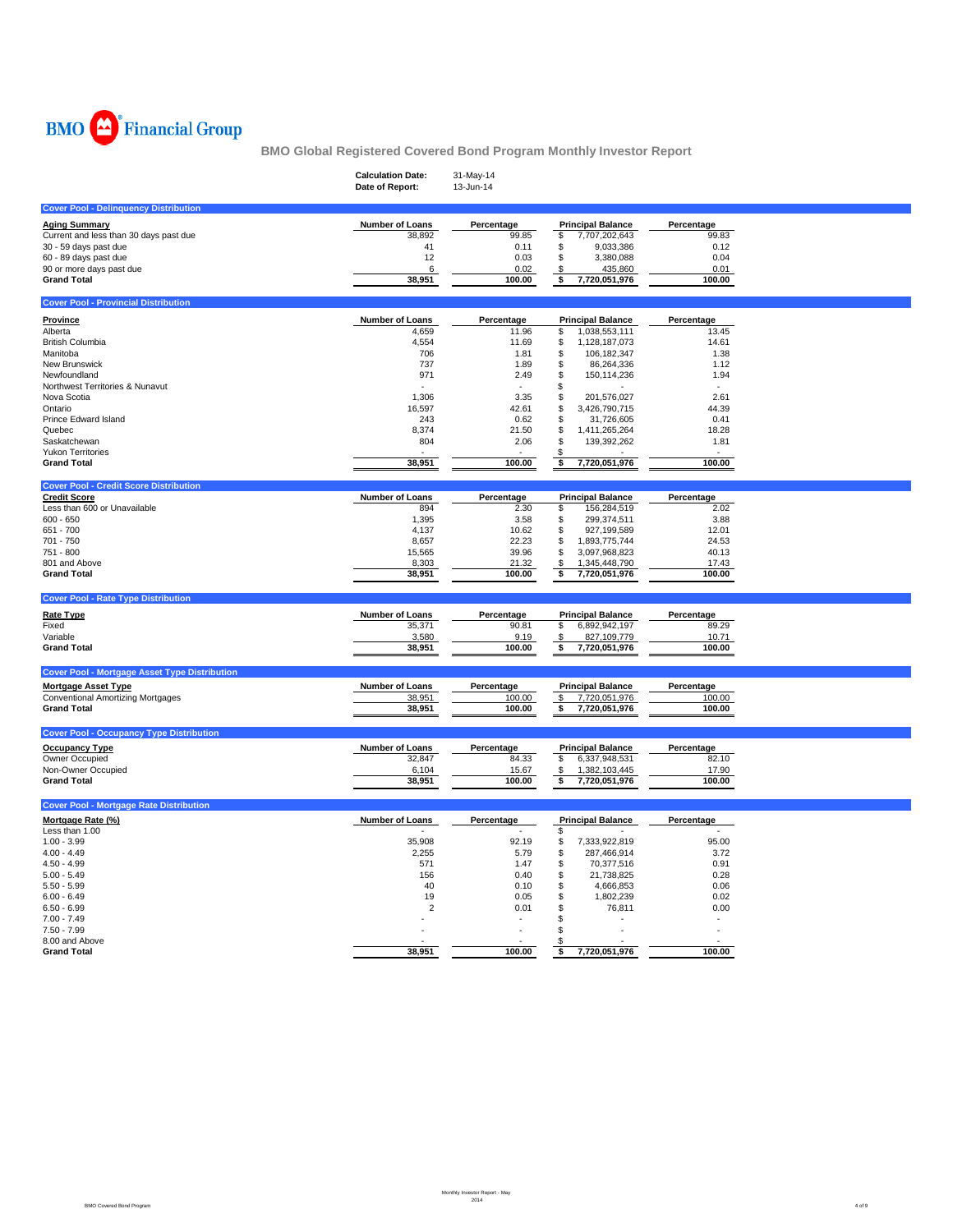

|                                                      | <b>Calculation Date:</b><br>Date of Report: | 31-May-14<br>13-Jun-14 |                                            |                 |  |
|------------------------------------------------------|---------------------------------------------|------------------------|--------------------------------------------|-----------------|--|
| <b>Cover Pool - Delinquency Distribution</b>         |                                             |                        |                                            |                 |  |
| <b>Aging Summary</b>                                 | Number of Loans                             | Percentage             | <b>Principal Balance</b>                   | Percentage      |  |
| Current and less than 30 days past due               | 38,892                                      | 99.85                  | \$<br>7,707,202,643                        | 99.83           |  |
| 30 - 59 days past due                                | 41                                          | 0.11                   | \$<br>9,033,386                            | 0.12            |  |
| 60 - 89 days past due                                | 12                                          | 0.03                   | \$<br>3,380,088                            | 0.04            |  |
| 90 or more days past due                             | 6                                           | 0.02                   | \$<br>435,860                              | 0.01            |  |
| <b>Grand Total</b>                                   | 38,951                                      | 100.00                 | \$<br>7,720,051,976                        | 100.00          |  |
| <b>Cover Pool - Provincial Distribution</b>          |                                             |                        |                                            |                 |  |
| <b>Province</b>                                      | Number of Loans                             | Percentage             | <b>Principal Balance</b>                   | Percentage      |  |
| Alberta                                              | 4,659                                       | 11.96                  | 1,038,553,111<br>\$                        | 13.45           |  |
| <b>British Columbia</b>                              | 4,554                                       | 11.69                  | \$<br>1,128,187,073                        | 14.61           |  |
| Manitoba                                             | 706                                         | 1.81                   | \$<br>106, 182, 347                        | 1.38            |  |
| New Brunswick                                        | 737                                         | 1.89                   | \$<br>86,264,336                           | 1.12            |  |
| Newfoundland                                         | 971                                         | 2.49                   | \$<br>150,114,236                          | 1.94            |  |
| Northwest Territories & Nunavut                      |                                             |                        | \$                                         |                 |  |
| Nova Scotia                                          | 1,306                                       | 3.35                   | \$<br>201,576,027                          | 2.61            |  |
| Ontario<br>Prince Edward Island                      | 16,597<br>243                               | 42.61<br>0.62          | \$<br>3,426,790,715<br>\$<br>31,726,605    | 44.39<br>0.41   |  |
| Quebec                                               | 8,374                                       | 21.50                  | \$<br>1,411,265,264                        | 18.28           |  |
| Saskatchewan                                         | 804                                         | 2.06                   | \$<br>139,392,262                          | 1.81            |  |
| <b>Yukon Territories</b>                             |                                             |                        | \$                                         |                 |  |
| <b>Grand Total</b>                                   | 38,951                                      | 100.00                 | 7,720,051,976<br>\$                        | 100.00          |  |
| <b>Cover Pool - Credit Score Distribution</b>        |                                             |                        |                                            |                 |  |
| <b>Credit Score</b>                                  | <b>Number of Loans</b>                      | Percentage             | <b>Principal Balance</b>                   | Percentage      |  |
| Less than 600 or Unavailable                         | 894                                         | 2.30                   | \$<br>156,284,519                          | 2.02            |  |
| $600 - 650$                                          | 1,395                                       | 3.58                   | \$<br>299,374,511                          | 3.88            |  |
| 651 - 700                                            | 4,137                                       | 10.62                  | \$<br>927,199,589                          | 12.01           |  |
| 701 - 750                                            | 8,657                                       | 22.23                  | \$<br>1,893,775,744                        | 24.53           |  |
| 751 - 800                                            | 15,565                                      | 39.96                  | \$<br>3,097,968,823                        | 40.13           |  |
| 801 and Above<br><b>Grand Total</b>                  | 8,303<br>38,951                             | 21.32<br>100.00        | \$<br>1,345,448,790<br>7,720,051,976<br>\$ | 17.43<br>100.00 |  |
|                                                      |                                             |                        |                                            |                 |  |
| <b>Cover Pool - Rate Type Distribution</b>           |                                             |                        |                                            |                 |  |
| Rate Type                                            | Number of Loans                             | Percentage             | <b>Principal Balance</b>                   | Percentage      |  |
| Fixed                                                | 35,371                                      | 90.81                  | \$<br>6,892,942,197                        | 89.29           |  |
| Variable                                             | 3,580                                       | 9.19                   | 827,109,779<br>\$                          | 10.71           |  |
| <b>Grand Total</b>                                   | 38,951                                      | 100.00                 | \$<br>7,720,051,976                        | 100.00          |  |
| <b>Cover Pool - Mortgage Asset Type Distribution</b> |                                             |                        |                                            |                 |  |
| <b>Mortgage Asset Type</b>                           | Number of Loans                             | Percentage             | <b>Principal Balance</b>                   | Percentage      |  |
| <b>Conventional Amortizing Mortgages</b>             | 38,951                                      | 100.00                 | 7,720,051,976<br>\$                        | 100.00          |  |
| <b>Grand Total</b>                                   | 38,951                                      | 100.00                 | \$<br>7,720,051,976                        | 100.00          |  |
| <b>Cover Pool - Occupancy Type Distribution</b>      |                                             |                        |                                            |                 |  |
| <b>Occupancy Type</b>                                | Number of Loans                             | Percentage             | <b>Principal Balance</b>                   | Percentage      |  |
| Owner Occupied                                       | 32,847                                      | 84.33                  | \$<br>6,337,948,531                        | 82.10           |  |
| Non-Owner Occupied                                   | 6,104                                       | 15.67                  | \$<br>1,382,103,445                        | 17.90           |  |
| <b>Grand Total</b>                                   | 38,951                                      | 100.00                 | \$<br>7,720,051,976                        | 100.00          |  |
| <b>Cover Pool - Mortgage Rate Distribution</b>       |                                             |                        |                                            |                 |  |
|                                                      |                                             |                        |                                            |                 |  |
| Mortgage Rate (%)<br>Less than 1.00                  | Number of Loans                             | Percentage             | <b>Principal Balance</b><br>\$             | Percentage      |  |
| $1.00 - 3.99$                                        | 35,908                                      | 92.19                  | \$<br>7,333,922,819                        | 95.00           |  |
| $4.00 - 4.49$                                        | 2,255                                       | 5.79                   | \$<br>287,466,914                          | 3.72            |  |
| $4.50 - 4.99$                                        | 571                                         | 1.47                   | \$<br>70,377,516                           | 0.91            |  |
| $5.00 - 5.49$                                        | 156                                         | 0.40                   | \$<br>21,738,825                           | 0.28            |  |
| $5.50 - 5.99$                                        | 40                                          | 0.10                   | \$<br>4,666,853                            | 0.06            |  |
| $6.00 - 6.49$                                        | 19                                          | 0.05                   | \$<br>1,802,239                            | 0.02            |  |
| $6.50 - 6.99$                                        | $\overline{2}$                              | 0.01                   | \$<br>76,811                               | 0.00            |  |
| $7.00 - 7.49$                                        |                                             |                        | \$<br>ä,                                   | $\sim$          |  |
| $7.50 - 7.99$                                        |                                             |                        | \$                                         | ÷.              |  |
| 8.00 and Above                                       |                                             |                        | \$                                         |                 |  |
| <b>Grand Total</b>                                   | 38,951                                      | 100.00                 | 7,720,051,976<br>\$                        | 100.00          |  |
|                                                      |                                             |                        |                                            |                 |  |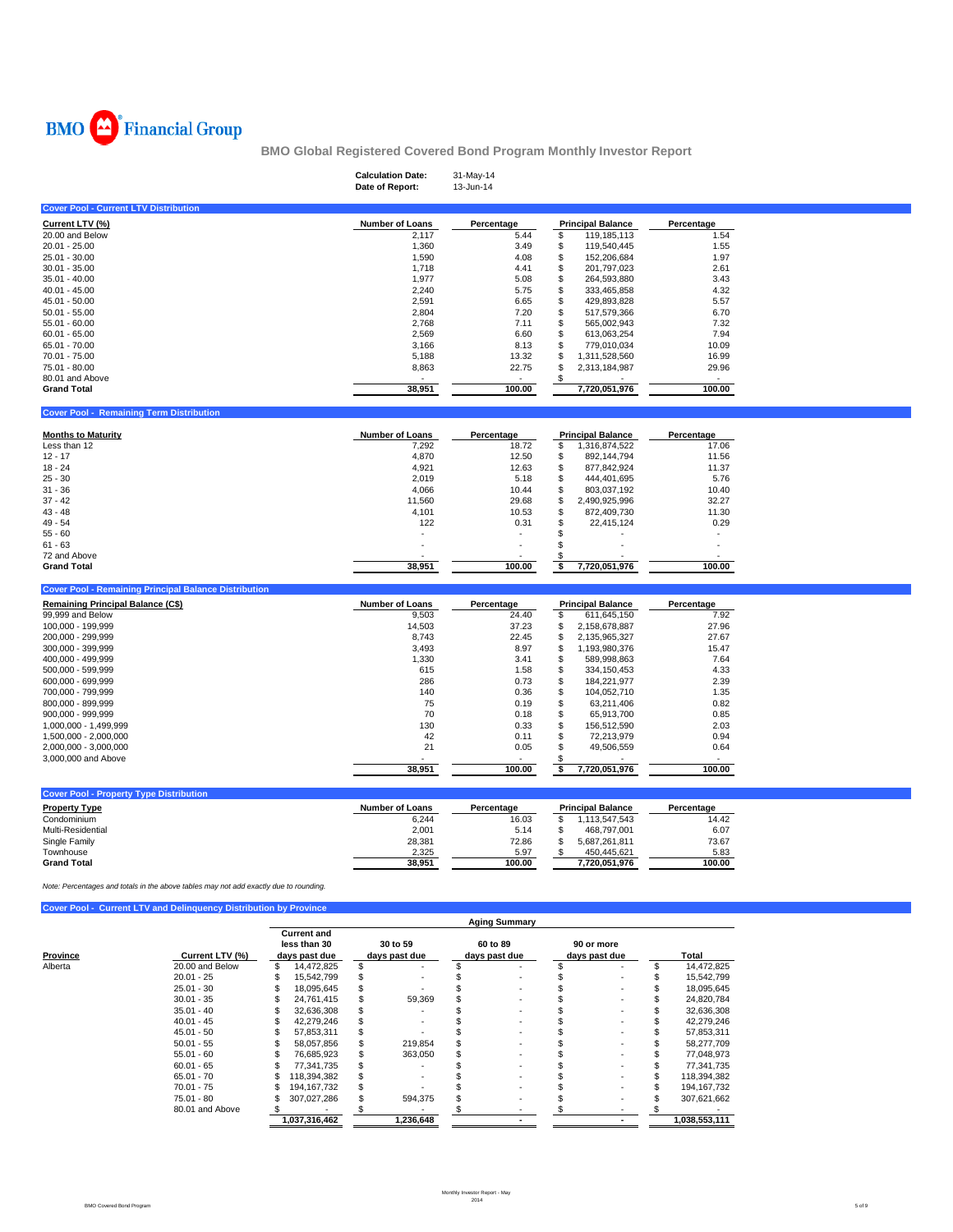

|                                                                                                   |                              |                                       | <b>Calculation Date:</b><br>Date of Report: | 31-May-14<br>13-Jun-14 |                                               |                                          |  |
|---------------------------------------------------------------------------------------------------|------------------------------|---------------------------------------|---------------------------------------------|------------------------|-----------------------------------------------|------------------------------------------|--|
| <b>Cover Pool - Current LTV Distribution</b>                                                      |                              |                                       |                                             |                        |                                               |                                          |  |
| Current LTV (%)                                                                                   |                              |                                       | <b>Number of Loans</b>                      | Percentage             |                                               | Percentage                               |  |
| 20.00 and Below                                                                                   |                              |                                       | 2,117                                       | 5.44                   | <b>Principal Balance</b><br>\$<br>119,185,113 | 1.54                                     |  |
| 20.01 - 25.00                                                                                     |                              |                                       | 1,360                                       | 3.49                   | \$<br>119,540,445                             | 1.55                                     |  |
| 25.01 - 30.00                                                                                     |                              |                                       | 1,590                                       | 4.08                   | \$<br>152,206,684                             | 1.97                                     |  |
| $30.01 - 35.00$                                                                                   |                              |                                       | 1,718                                       | 4.41                   | \$<br>201,797,023                             | 2.61                                     |  |
| $35.01 - 40.00$                                                                                   |                              |                                       | 1,977                                       | 5.08                   | \$<br>264,593,880                             | 3.43                                     |  |
| $40.01 - 45.00$                                                                                   |                              |                                       | 2,240                                       | 5.75                   | \$<br>333,465,858                             | 4.32                                     |  |
| 45.01 - 50.00                                                                                     |                              |                                       | 2,591                                       | 6.65<br>7.20           | \$<br>429,893,828                             | 5.57<br>6.70                             |  |
| $50.01 - 55.00$<br>55.01 - 60.00                                                                  |                              |                                       | 2,804<br>2,768                              | 7.11                   | \$<br>517,579,366<br>\$<br>565,002,943        | 7.32                                     |  |
| $60.01 - 65.00$                                                                                   |                              |                                       | 2,569                                       | 6.60                   | \$<br>613,063,254                             | 7.94                                     |  |
| 65.01 - 70.00                                                                                     |                              |                                       | 3,166                                       | 8.13                   | \$<br>779,010,034                             | 10.09                                    |  |
| 70.01 - 75.00                                                                                     |                              |                                       | 5,188                                       | 13.32                  | \$<br>1,311,528,560                           | 16.99                                    |  |
| 75.01 - 80.00                                                                                     |                              |                                       | 8,863                                       | 22.75                  | \$<br>2,313,184,987                           | 29.96                                    |  |
| 80.01 and Above                                                                                   |                              |                                       |                                             | $\blacksquare$         | \$                                            | $\overline{\phantom{a}}$                 |  |
| <b>Grand Total</b>                                                                                |                              |                                       | 38,951                                      | 100.00                 | 7,720,051,976                                 | 100.00                                   |  |
| <b>Cover Pool - Remaining Term Distribution</b>                                                   |                              |                                       |                                             |                        |                                               |                                          |  |
| <b>Months to Maturity</b>                                                                         |                              |                                       | <b>Number of Loans</b>                      | Percentage             | <b>Principal Balance</b>                      | Percentage                               |  |
| Less than 12                                                                                      |                              |                                       | 7,292                                       | 18.72                  | 1,316,874,522<br>\$                           | 17.06                                    |  |
| $12 - 17$                                                                                         |                              |                                       | 4,870                                       | 12.50                  | \$<br>892,144,794                             | 11.56                                    |  |
| 18 - 24                                                                                           |                              |                                       | 4,921                                       | 12.63                  | \$<br>877,842,924                             | 11.37                                    |  |
| $25 - 30$<br>$31 - 36$                                                                            |                              |                                       | 2,019<br>4,066                              | 5.18<br>10.44          | \$<br>444,401,695<br>\$<br>803,037,192        | 5.76<br>10.40                            |  |
| $37 - 42$                                                                                         |                              |                                       | 11,560                                      | 29.68                  | \$<br>2,490,925,996                           | 32.27                                    |  |
| $43 - 48$                                                                                         |                              |                                       | 4,101                                       | 10.53                  | \$<br>872,409,730                             | 11.30                                    |  |
| 49 - 54                                                                                           |                              |                                       | 122                                         | 0.31                   | \$<br>22,415,124                              | 0.29                                     |  |
| $55 - 60$                                                                                         |                              |                                       |                                             |                        | \$                                            | $\overline{\phantom{a}}$                 |  |
| $61 - 63$                                                                                         |                              |                                       |                                             |                        | \$                                            |                                          |  |
| 72 and Above                                                                                      |                              |                                       |                                             |                        | \$                                            | $\sim$                                   |  |
| <b>Grand Total</b>                                                                                |                              |                                       | 38,951                                      | 100.00                 | \$<br>7,720,051,976                           | 100.00                                   |  |
| <b>Cover Pool - Remaining Principal Balance Distribution</b><br>Remaining Principal Balance (C\$) |                              |                                       |                                             | Percentage             |                                               |                                          |  |
| 99,999 and Below                                                                                  |                              |                                       | <b>Number of Loans</b><br>9,503             | 24.40                  | <b>Principal Balance</b><br>\$<br>611,645,150 | Percentage<br>7.92                       |  |
| 100,000 - 199,999                                                                                 |                              |                                       | 14,503                                      | 37.23                  | \$<br>2,158,678,887                           | 27.96                                    |  |
| 200,000 - 299,999                                                                                 |                              |                                       | 8,743                                       | 22.45                  | \$<br>2,135,965,327                           | 27.67                                    |  |
| 300,000 - 399,999                                                                                 |                              |                                       | 3,493                                       | 8.97                   | \$<br>1,193,980,376                           | 15.47                                    |  |
| 400,000 - 499,999                                                                                 |                              |                                       | 1,330                                       | 3.41                   | \$<br>589,998,863                             | 7.64                                     |  |
| 500,000 - 599,999                                                                                 |                              |                                       | 615                                         | 1.58                   | \$<br>334, 150, 453                           | 4.33                                     |  |
| 600,000 - 699,999                                                                                 |                              |                                       | 286                                         | 0.73                   | \$<br>184,221,977                             | 2.39                                     |  |
| 700,000 - 799,999                                                                                 |                              |                                       | 140                                         | 0.36                   | \$<br>104,052,710                             | 1.35                                     |  |
| 800,000 - 899,999                                                                                 |                              |                                       | 75                                          | 0.19                   | \$<br>63,211,406                              | 0.82                                     |  |
| 900,000 - 999,999                                                                                 |                              |                                       | 70<br>130                                   | 0.18<br>0.33           | \$<br>65,913,700<br>\$                        | 0.85<br>2.03                             |  |
| 1,000,000 - 1,499,999<br>1,500,000 - 2,000,000                                                    |                              |                                       | 42                                          | 0.11                   | 156,512,590<br>\$<br>72,213,979               | 0.94                                     |  |
| 2,000,000 - 3,000,000                                                                             |                              |                                       | 21                                          | 0.05                   | \$<br>49,506,559                              | 0.64                                     |  |
| 3,000,000 and Above                                                                               |                              |                                       |                                             |                        | \$                                            |                                          |  |
|                                                                                                   |                              |                                       | 38,951                                      | 100.00                 | \$<br>7,720,051,976                           | 100.00                                   |  |
| <b>Cover Pool - Property Type Distribution</b>                                                    |                              |                                       |                                             |                        |                                               |                                          |  |
| <b>Property Type</b>                                                                              |                              |                                       | <b>Number of Loans</b>                      | Percentage             | <b>Principal Balance</b>                      | Percentage                               |  |
| Condominium                                                                                       |                              |                                       | 6,244                                       | 16.03                  | \$<br>1,113,547,543                           | 14.42                                    |  |
| Multi-Residential                                                                                 |                              |                                       | 2,001                                       | 5.14                   | \$<br>468,797,001<br>\$                       | 6.07                                     |  |
| Single Family<br>Townhouse                                                                        |                              |                                       | 28,381<br>2,325                             | 72.86<br>5.97          | 5,687,261,811<br>\$<br>450,445,621            | 73.67<br>5.83                            |  |
| <b>Grand Total</b>                                                                                |                              |                                       | 38,951                                      | 100.00                 | 7,720,051,976                                 | 100.00                                   |  |
| Note: Percentages and totals in the above tables may not add exactly due to rounding.             |                              |                                       |                                             |                        |                                               |                                          |  |
| Cover Pool - Current LTV and Delinquency Distribution by Province                                 |                              |                                       |                                             |                        |                                               |                                          |  |
|                                                                                                   |                              | <b>Current and</b>                    |                                             | <b>Aging Summary</b>   |                                               |                                          |  |
|                                                                                                   |                              | less than 30                          | 30 to 59                                    | 60 to 89               | 90 or more                                    |                                          |  |
| Province                                                                                          | Current LTV (%)              | days past due                         | days past due                               | days past due          | days past due                                 | Total                                    |  |
| Alberta                                                                                           | 20.00 and Below              | \$<br>14,472,825                      | \$                                          | \$                     | \$                                            | \$<br>14,472,825                         |  |
|                                                                                                   | $20.01 - 25$<br>$25.01 - 30$ | \$<br>15,542,799<br>18,095,645<br>S   | \$<br>\$                                    | \$<br>S                | \$<br>\$                                      | \$<br>15,542,799<br>\$<br>18,095,645     |  |
|                                                                                                   | $30.01 - 35$                 | 24,761,415<br>\$                      | \$<br>59,369                                | S                      | \$                                            | \$<br>24,820,784                         |  |
|                                                                                                   | $35.01 - 40$                 | \$<br>32,636,308                      | \$                                          | \$                     | \$                                            | \$<br>32,636,308                         |  |
|                                                                                                   | $40.01 - 45$                 | \$<br>42,279,246                      | \$                                          | S                      | \$                                            | \$<br>42,279,246                         |  |
|                                                                                                   | $45.01 - 50$                 | 57,853,311<br>\$                      | \$                                          | S                      | \$                                            | \$<br>57,853,311                         |  |
|                                                                                                   | $50.01 - 55$                 | 58,057,856<br>\$                      | \$<br>219,854                               | \$                     | \$                                            | \$<br>58,277,709                         |  |
|                                                                                                   | $55.01 - 60$                 | 76,685,923<br>S                       | \$<br>363,050                               | \$                     | \$                                            | \$<br>77,048,973                         |  |
|                                                                                                   | $60.01 - 65$                 | \$<br>77,341,735                      | \$                                          | S                      | \$                                            | \$<br>77,341,735                         |  |
|                                                                                                   | $65.01 - 70$                 | \$<br>118,394,382                     | \$<br>$\overline{\phantom{a}}$              | \$                     | \$                                            | \$<br>118,394,382                        |  |
|                                                                                                   | $70.01 - 75$<br>75.01 - 80   | 194,167,732<br>S<br>307,027,286<br>\$ | \$<br>\$<br>594,375                         | \$<br>\$               | \$<br>\$                                      | 194, 167, 732<br>\$<br>\$<br>307,621,662 |  |
|                                                                                                   | 80.01 and Above              | -\$                                   | \$                                          | \$                     | \$                                            | -S                                       |  |
|                                                                                                   |                              | 1,037,316,462                         | 1,236,648                                   |                        | $\overline{\phantom{a}}$                      | 1,038,553,111                            |  |
|                                                                                                   |                              |                                       |                                             |                        |                                               |                                          |  |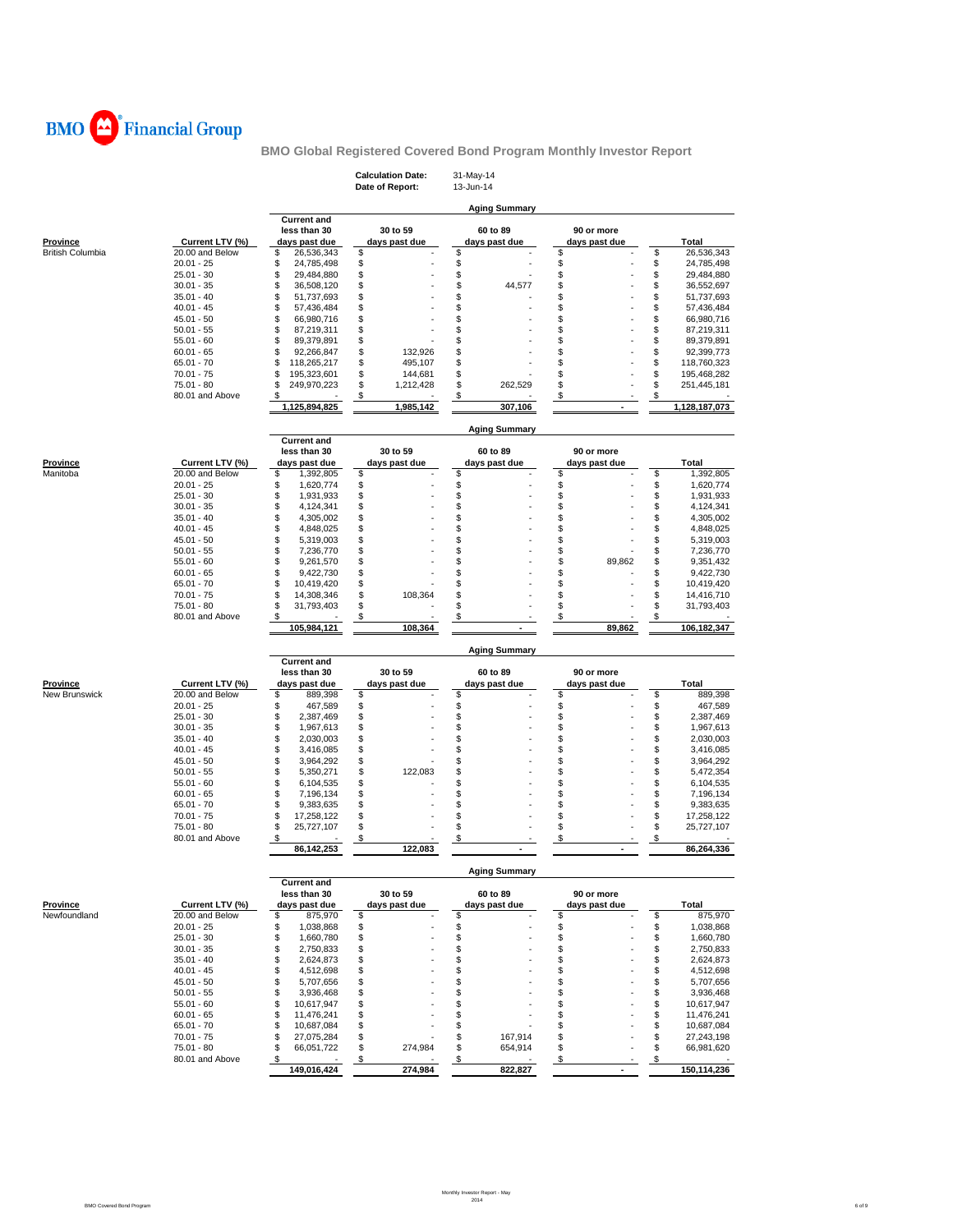

|                           |                                    |                                                     |          | <b>Calculation Date:</b><br>Date of Report: |                      | 31-May-14<br>13-Jun-14    |          |                             |          |                           |
|---------------------------|------------------------------------|-----------------------------------------------------|----------|---------------------------------------------|----------------------|---------------------------|----------|-----------------------------|----------|---------------------------|
|                           |                                    |                                                     |          |                                             |                      | <b>Aging Summary</b>      |          |                             |          |                           |
| Province                  | Current LTV (%)                    | <b>Current and</b><br>less than 30<br>days past due |          | 30 to 59<br>days past due                   |                      | 60 to 89<br>days past due |          | 90 or more<br>days past due |          | Total                     |
| <b>British Columbia</b>   | 20.00 and Below                    | \$<br>26,536,343                                    | \$       |                                             | \$                   |                           | \$       |                             | \$       | 26,536,343                |
|                           | $20.01 - 25$                       | \$<br>24,785,498                                    | \$       |                                             | \$                   |                           | \$       |                             | \$       | 24,785,498                |
|                           | $25.01 - 30$                       | \$<br>29,484,880                                    | \$       |                                             | \$                   |                           | \$       |                             | \$       | 29,484,880                |
|                           | $30.01 - 35$                       | \$<br>36,508,120                                    | \$       |                                             | \$                   | 44,577                    | \$       |                             | \$       | 36,552,697                |
|                           | $35.01 - 40$                       | \$<br>51,737,693                                    | \$       |                                             | \$                   |                           | \$       |                             | \$       | 51,737,693                |
|                           | $40.01 - 45$                       | \$<br>57,436,484                                    | \$       |                                             | \$                   |                           | \$       |                             | \$       | 57,436,484                |
|                           | $45.01 - 50$                       | \$<br>66,980,716                                    | \$       |                                             | \$                   |                           | \$       |                             | \$       | 66,980,716                |
|                           | $50.01 - 55$                       | \$<br>87,219,311                                    | \$       |                                             | \$                   |                           | \$       |                             | \$       | 87,219,311                |
|                           | $55.01 - 60$<br>$60.01 - 65$       | \$<br>89,379,891<br>\$                              | \$<br>\$ | 132,926                                     | \$<br>\$             |                           | \$<br>\$ |                             | \$<br>\$ | 89,379,891                |
|                           | $65.01 - 70$                       | 92,266,847<br>\$<br>118,265,217                     | \$       | 495.107                                     | \$                   |                           | \$       |                             | \$       | 92,399,773<br>118,760,323 |
|                           | $70.01 - 75$                       | \$<br>195,323,601                                   | \$       | 144,681                                     | \$                   |                           | \$       |                             | \$       | 195,468,282               |
|                           | $75.01 - 80$                       | \$<br>249,970,223                                   | \$       | 1,212,428                                   | \$                   | 262,529                   | \$       |                             | \$       | 251,445,181               |
|                           | 80.01 and Above                    | S                                                   | \$       |                                             | \$                   |                           | \$       |                             | \$       |                           |
|                           |                                    | 1,125,894,825                                       |          | 1,985,142                                   |                      | 307,106                   |          |                             |          | 1,128,187,073             |
|                           |                                    | <b>Current and</b>                                  |          |                                             |                      | <b>Aging Summary</b>      |          |                             |          |                           |
|                           |                                    | less than 30                                        |          | 30 to 59                                    |                      | 60 to 89                  |          | 90 or more                  |          |                           |
| <b>Province</b>           | Current LTV (%)                    | days past due                                       |          | days past due                               |                      | days past due             |          | days past due               |          | Total                     |
| Manitoba                  | 20.00 and Below                    | \$<br>1,392,805                                     | \$       |                                             | \$                   |                           | \$       |                             | \$       | 1,392,805                 |
|                           | $20.01 - 25$                       | \$<br>1,620,774                                     | \$       |                                             | \$                   |                           | \$       |                             | \$       | 1,620,774                 |
|                           | $25.01 - 30$                       | \$<br>1,931,933                                     | \$       |                                             | \$                   |                           | \$       |                             | \$       | 1,931,933                 |
|                           | $30.01 - 35$                       | \$<br>4,124,341                                     | \$       |                                             | \$                   |                           | \$       |                             | \$       | 4,124,341                 |
|                           | $35.01 - 40$                       | \$<br>4,305,002                                     | \$       |                                             | \$                   |                           | \$       |                             | \$       | 4,305,002                 |
|                           | $40.01 - 45$                       | \$<br>4,848,025                                     | \$       |                                             | \$<br>\$             |                           | \$       |                             | \$<br>\$ | 4,848,025                 |
|                           | $45.01 - 50$                       | \$<br>5,319,003                                     | \$       |                                             | \$                   |                           | \$       |                             |          | 5,319,003                 |
|                           | $50.01 - 55$<br>$55.01 - 60$       | \$<br>7,236,770<br>\$                               | \$<br>\$ |                                             | \$                   |                           | \$<br>\$ | 89,862                      | \$<br>\$ | 7,236,770                 |
|                           | $60.01 - 65$                       | 9,261,570<br>\$                                     | \$       |                                             | \$                   |                           | \$       |                             | \$       | 9,351,432<br>9,422,730    |
|                           | $65.01 - 70$                       | 9,422,730<br>\$<br>10,419,420                       | \$       |                                             | \$                   |                           | \$       |                             | \$       | 10,419,420                |
|                           | $70.01 - 75$                       | \$<br>14,308,346                                    | \$       | 108,364                                     | \$                   |                           | \$       |                             | \$       | 14,416,710                |
|                           | 75.01 - 80                         | \$<br>31,793,403                                    | \$       |                                             | \$                   |                           | \$       |                             | \$       | 31,793,403                |
|                           | 80.01 and Above                    | \$                                                  | \$       |                                             | \$                   |                           | \$       |                             | \$       |                           |
|                           |                                    | 105,984,121                                         |          | 108,364                                     |                      |                           |          | 89,862                      |          | 106,182,347               |
|                           |                                    |                                                     |          |                                             |                      | <b>Aging Summary</b>      |          |                             |          |                           |
|                           |                                    | <b>Current and</b>                                  |          |                                             |                      |                           |          |                             |          |                           |
|                           |                                    | less than 30                                        |          | 30 to 59                                    |                      | 60 to 89                  |          | 90 or more                  |          |                           |
| Province<br>New Brunswick | Current LTV (%)<br>20.00 and Below | days past due<br>\$                                 | \$       | days past due                               | \$                   | days past due             | \$       | days past due               | \$       | Total                     |
|                           | $20.01 - 25$                       | 889,398<br>\$<br>467,589                            | \$       |                                             | \$                   |                           | \$       |                             | \$       | 889,398<br>467,589        |
|                           | $25.01 - 30$                       | \$<br>2,387,469                                     | \$       |                                             | \$                   |                           | \$       |                             | \$       | 2,387,469                 |
|                           | $30.01 - 35$                       | \$<br>1,967,613                                     | \$       |                                             | \$                   |                           | \$       |                             | \$       | 1,967,613                 |
|                           | $35.01 - 40$                       | \$<br>2,030,003                                     | \$       |                                             | \$                   |                           | \$       |                             | \$       | 2,030,003                 |
|                           | $40.01 - 45$                       | \$<br>3,416,085                                     | \$       |                                             | \$                   |                           | \$       |                             | \$       | 3,416,085                 |
|                           | $45.01 - 50$                       | \$<br>3,964,292                                     | \$       |                                             | \$                   |                           | \$       |                             | \$       | 3,964,292                 |
|                           | $50.01 - 55$                       | \$<br>5,350,271                                     | \$       | 122,083                                     | \$                   |                           | \$       |                             | \$       | 5,472,354                 |
|                           | $55.01 - 60$                       | \$<br>6,104,535                                     | \$       |                                             | \$                   |                           | \$       |                             | \$       | 6,104,535                 |
|                           | $60.01 - 65$                       | \$<br>7,196,134                                     | \$       |                                             | \$                   |                           | \$       |                             | \$       | 7,196,134                 |
|                           | $65.01 - 70$                       | \$<br>9,383,635                                     | \$       |                                             | \$                   |                           | \$       |                             | \$       | 9,383,635                 |
|                           | $70.01 - 75$                       | \$<br>17,258,122                                    | \$       |                                             | \$                   |                           | \$       |                             | \$       | 17,258,122                |
|                           | $75.01 - 80$                       | \$<br>25,727,107                                    | \$       |                                             | \$                   |                           | \$       |                             | \$       | 25,727,107                |
|                           | 80.01 and Above                    | \$<br>86, 142, 253                                  | \$       | 122,083                                     | \$                   |                           | \$       | $\blacksquare$              | \$       | 86,264,336                |
|                           |                                    |                                                     |          |                                             |                      |                           |          |                             |          |                           |
|                           |                                    | <b>Current and</b>                                  |          |                                             | <b>Aging Summary</b> |                           |          |                             |          |                           |
|                           |                                    | less than 30                                        |          | 30 to 59                                    |                      | 60 to 89                  |          | 90 or more                  |          |                           |
| Province                  | Current LTV (%)                    | days past due                                       |          | days past due                               |                      | days past due             |          | days past due               |          | Total                     |
| Newfoundland              | 20.00 and Below                    | \$<br>875,970                                       | \$       |                                             | \$                   |                           | \$       |                             | \$       | 875,970                   |
|                           | $20.01 - 25$                       | \$<br>1,038,868                                     | \$       |                                             | \$                   |                           | \$       |                             | \$       | 1,038,868                 |
|                           | $25.01 - 30$                       | \$<br>1,660,780                                     | \$       |                                             | \$                   |                           | \$       |                             | \$       | 1,660,780                 |
|                           | $30.01 - 35$                       | \$<br>2,750,833                                     | \$       |                                             | \$                   |                           | \$       |                             | \$       | 2,750,833                 |
|                           | $35.01 - 40$                       | \$<br>2,624,873                                     | \$       |                                             | \$                   |                           | \$       |                             | \$       | 2,624,873                 |
|                           | $40.01 - 45$                       | \$<br>4,512,698                                     | \$       |                                             | \$                   |                           | \$       |                             | \$       | 4,512,698                 |
|                           | $45.01 - 50$                       | \$<br>5,707,656                                     | \$       |                                             | \$                   |                           | \$       |                             | \$       | 5,707,656                 |
|                           | $50.01 - 55$                       | \$<br>3,936,468                                     | \$       |                                             | \$                   |                           | \$       |                             | \$       | 3,936,468                 |
|                           | $55.01 - 60$                       | \$<br>10,617,947                                    | \$       |                                             | \$                   |                           | \$       |                             | \$       | 10,617,947                |
|                           | $60.01 - 65$                       | \$<br>11,476,241                                    | \$       |                                             | \$                   |                           | \$       |                             | \$       | 11,476,241                |
|                           | $65.01 - 70$                       | \$<br>10,687,084                                    | \$       |                                             | \$                   |                           | \$       |                             | \$       | 10,687,084                |
|                           | $70.01 - 75$<br>75.01 - 80         | \$<br>27,075,284<br>\$                              | \$       | 274,984                                     | \$<br>\$             | 167,914<br>654,914        | \$<br>\$ |                             | \$<br>\$ | 27,243,198                |
|                           | 80.01 and Above                    | 66,051,722<br>\$                                    | \$<br>\$ |                                             | \$                   |                           | \$       |                             | \$       | 66,981,620                |
|                           |                                    | 149,016,424                                         |          | 274,984                                     |                      | 822,827                   |          |                             |          | 150,114,236               |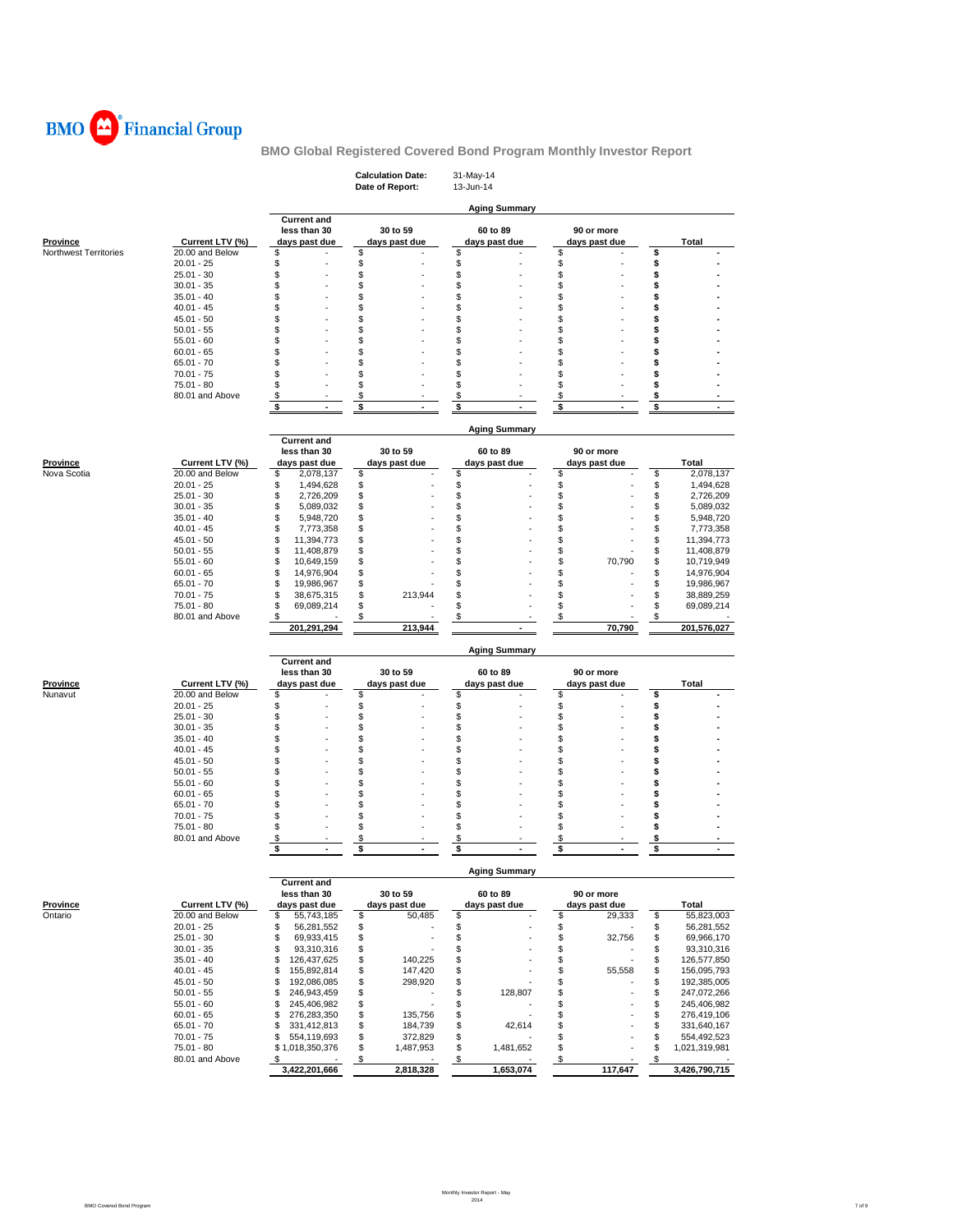

|                                |                                    |                                        | <b>Calculation Date:</b><br>Date of Report: | 31-May-14<br>13-Jun-14    |                                 |                                      |
|--------------------------------|------------------------------------|----------------------------------------|---------------------------------------------|---------------------------|---------------------------------|--------------------------------------|
|                                |                                    |                                        |                                             | <b>Aging Summary</b>      |                                 |                                      |
|                                |                                    | <b>Current and</b>                     |                                             |                           |                                 |                                      |
| <b>Province</b>                | Current LTV (%)                    | less than 30<br>days past due          | 30 to 59<br>days past due                   | 60 to 89<br>days past due | 90 or more<br>days past due     | Total                                |
| Northwest Territories          | 20.00 and Below                    | \$                                     | \$                                          | \$                        | \$                              | \$                                   |
|                                | $20.01 - 25$<br>$25.01 - 30$       | \$<br>\$                               | \$<br>\$                                    | \$<br>\$                  | \$<br>\$                        | \$<br>\$                             |
|                                | $30.01 - 35$                       | \$                                     | \$                                          | \$                        | \$                              | \$                                   |
|                                | $35.01 - 40$                       | \$                                     | \$                                          | \$                        | \$                              | \$                                   |
|                                | $40.01 - 45$                       | \$                                     | \$                                          | \$                        | \$                              | \$                                   |
|                                | $45.01 - 50$<br>$50.01 - 55$       | \$<br>\$                               | \$<br>\$                                    | \$<br>\$                  | \$<br>\$                        | \$<br>\$                             |
|                                | $55.01 - 60$                       | \$                                     | \$                                          | \$                        | \$                              | \$                                   |
|                                | $60.01 - 65$                       | \$                                     | \$                                          | \$                        | \$                              | \$                                   |
|                                | $65.01 - 70$                       | \$                                     | \$                                          | \$                        | \$                              | \$                                   |
|                                | $70.01 - 75$                       | \$                                     | \$                                          | \$                        | \$                              | \$                                   |
|                                | $75.01 - 80$<br>80.01 and Above    | \$<br>\$                               | \$<br>\$                                    | \$<br>\$                  | \$<br>\$                        | \$<br>\$                             |
|                                |                                    | \$<br>$\overline{a}$                   | \$                                          | \$                        | \$<br>$\overline{a}$            | \$<br>$\overline{a}$                 |
|                                |                                    |                                        |                                             | <b>Aging Summary</b>      |                                 |                                      |
|                                |                                    | <b>Current and</b>                     |                                             |                           |                                 |                                      |
|                                |                                    | less than 30                           | 30 to 59                                    | 60 to 89                  | 90 or more                      |                                      |
| <b>Province</b><br>Nova Scotia | Current LTV (%)<br>20.00 and Below | days past due<br>\$<br>2,078,137       | days past due<br>\$                         | days past due<br>\$       | days past due<br>\$             | Total<br>\$<br>2,078,137             |
|                                | $20.01 - 25$                       | \$<br>1,494,628                        | \$                                          | \$                        | \$                              | \$<br>1,494,628                      |
|                                | $25.01 - 30$                       | \$<br>2,726,209                        | \$                                          | \$                        | \$                              | \$<br>2,726,209                      |
|                                | $30.01 - 35$                       | \$<br>5,089,032                        | \$                                          | \$                        | \$                              | \$<br>5,089,032                      |
|                                | $35.01 - 40$                       | \$<br>5,948,720                        | \$                                          | \$                        | \$                              | \$<br>5,948,720                      |
|                                | $40.01 - 45$<br>$45.01 - 50$       | \$<br>7,773,358<br>\$                  | \$<br>\$                                    | \$<br>\$                  | \$<br>\$                        | \$<br>7,773,358<br>\$                |
|                                | $50.01 - 55$                       | 11,394,773<br>\$<br>11,408,879         | \$                                          | \$                        | \$                              | 11,394,773<br>\$<br>11,408,879       |
|                                | $55.01 - 60$                       | \$<br>10,649,159                       | \$                                          | \$                        | \$<br>70,790                    | \$<br>10,719,949                     |
|                                | $60.01 - 65$                       | \$<br>14,976,904                       | \$                                          | \$                        | \$                              | \$<br>14,976,904                     |
|                                | $65.01 - 70$                       | \$<br>19,986,967                       | \$                                          | \$                        | \$                              | \$<br>19,986,967                     |
|                                | $70.01 - 75$                       | \$<br>38,675,315                       | \$<br>213,944                               | \$                        | \$                              | \$<br>38,889,259                     |
|                                | 75.01 - 80<br>80.01 and Above      | \$<br>69,089,214<br>\$                 | \$<br>\$                                    | \$<br>\$                  | \$<br>\$                        | \$<br>69,089,214<br>\$               |
|                                |                                    | 201,291,294                            | 213,944                                     |                           | 70,790                          | 201,576,027                          |
|                                |                                    |                                        |                                             | <b>Aging Summary</b>      |                                 |                                      |
|                                |                                    | <b>Current and</b>                     |                                             |                           |                                 |                                      |
|                                |                                    | less than 30                           | 30 to 59                                    | 60 to 89                  | 90 or more                      |                                      |
| <b>Province</b><br>Nunavut     | Current LTV (%)<br>20.00 and Below | days past due<br>\$                    | days past due<br>\$                         | days past due<br>\$       | days past due<br>\$             | <b>Total</b><br>\$                   |
|                                | $20.01 - 25$                       | \$                                     | \$                                          | \$                        | \$                              | \$                                   |
|                                | $25.01 - 30$                       | \$                                     | \$                                          | \$                        | \$                              | \$                                   |
|                                | $30.01 - 35$                       | \$                                     | \$                                          | \$                        | \$                              | \$                                   |
|                                | $35.01 - 40$<br>$40.01 - 45$       | \$<br>\$                               | \$<br>\$                                    | \$<br>\$                  | \$<br>\$                        | \$<br>\$                             |
|                                | $45.01 - 50$                       | \$                                     | \$                                          | \$                        | \$                              | \$                                   |
|                                | $50.01 - 55$                       | \$                                     | \$                                          | \$                        | \$                              | \$                                   |
|                                | $55.01 - 60$                       | \$                                     | \$                                          | \$                        | \$                              | \$                                   |
|                                | $60.01 - 65$                       | \$                                     | \$                                          | \$                        | \$                              | \$                                   |
|                                | $65.01 - 70$                       | \$                                     | \$                                          | \$                        | \$                              | \$                                   |
|                                | $70.01 - 75$<br>$75.01 - 80$       | \$<br>\$                               | \$<br>\$                                    | \$<br>\$                  | \$<br>\$                        | \$<br>\$                             |
|                                | 80.01 and Above                    | \$                                     | \$                                          | \$                        | \$                              | \$                                   |
|                                |                                    | \$<br>$\blacksquare$                   | \$                                          | \$<br>٠                   | \$<br>$\overline{\phantom{a}}$  | \$                                   |
|                                |                                    |                                        |                                             | <b>Aging Summary</b>      |                                 |                                      |
|                                |                                    | <b>Current and</b><br>less than 30     | 30 to 59                                    | 60 to 89                  | 90 or more                      |                                      |
| Province                       | Current LTV (%)                    | days past due                          | days past due                               | days past due             | days past due                   | Total                                |
| Ontario                        | 20.00 and Below                    | \$<br>55,743,185                       | 50,485<br>\$                                | \$                        | \$<br>29,333                    | \$<br>55,823,003                     |
|                                | $20.01 - 25$                       | \$<br>56,281,552                       | \$                                          | \$                        | \$                              | \$<br>56,281,552                     |
|                                | $25.01 - 30$                       | \$<br>69,933,415                       | \$                                          | \$                        | \$<br>32,756                    | \$<br>69,966,170                     |
|                                | $30.01 - 35$                       | \$<br>93,310,316                       | \$                                          | \$                        | \$                              | \$<br>93,310,316                     |
|                                | $35.01 - 40$                       | \$<br>126,437,625                      | \$<br>140,225                               | \$                        | \$                              | \$<br>126,577,850<br>\$              |
|                                | $40.01 - 45$<br>$45.01 - 50$       | \$<br>155,892,814<br>\$<br>192,086,085 | \$<br>147,420<br>\$<br>298,920              | \$<br>\$                  | \$<br>55,558<br>\$              | 156,095,793<br>\$<br>192,385,005     |
|                                | $50.01 - 55$                       | \$<br>246,943,459                      | \$                                          | \$<br>128,807             | \$                              | 247,072,266                          |
|                                | $55.01 - 60$                       | \$<br>245,406,982                      | \$                                          | \$                        | \$                              | \$<br>245,406,982                    |
|                                | $60.01 - 65$                       | \$<br>276,283,350                      | \$<br>135,756                               | \$                        | \$                              | \$<br>276,419,106                    |
|                                | $65.01 - 70$                       | \$<br>331,412,813                      | \$<br>184,739                               | \$<br>42,614              | \$                              | \$<br>331,640,167                    |
|                                | $70.01 - 75$                       | \$<br>554,119,693                      | \$<br>372,829                               | \$                        | \$                              | \$<br>554,492,523                    |
|                                | 75.01 - 80<br>80.01 and Above      | \$1,018,350,376<br>\$                  | \$<br>1,487,953<br>$\$\$                    | \$<br>1,481,652<br>\$     | \$<br>$\boldsymbol{\mathsf{S}}$ | \$<br>1,021,319,981<br>$\frac{1}{2}$ |
|                                |                                    | 3,422,201,666                          | 2,818,328                                   | 1,653,074                 | 117,647                         | 3,426,790,715                        |
|                                |                                    |                                        |                                             |                           |                                 |                                      |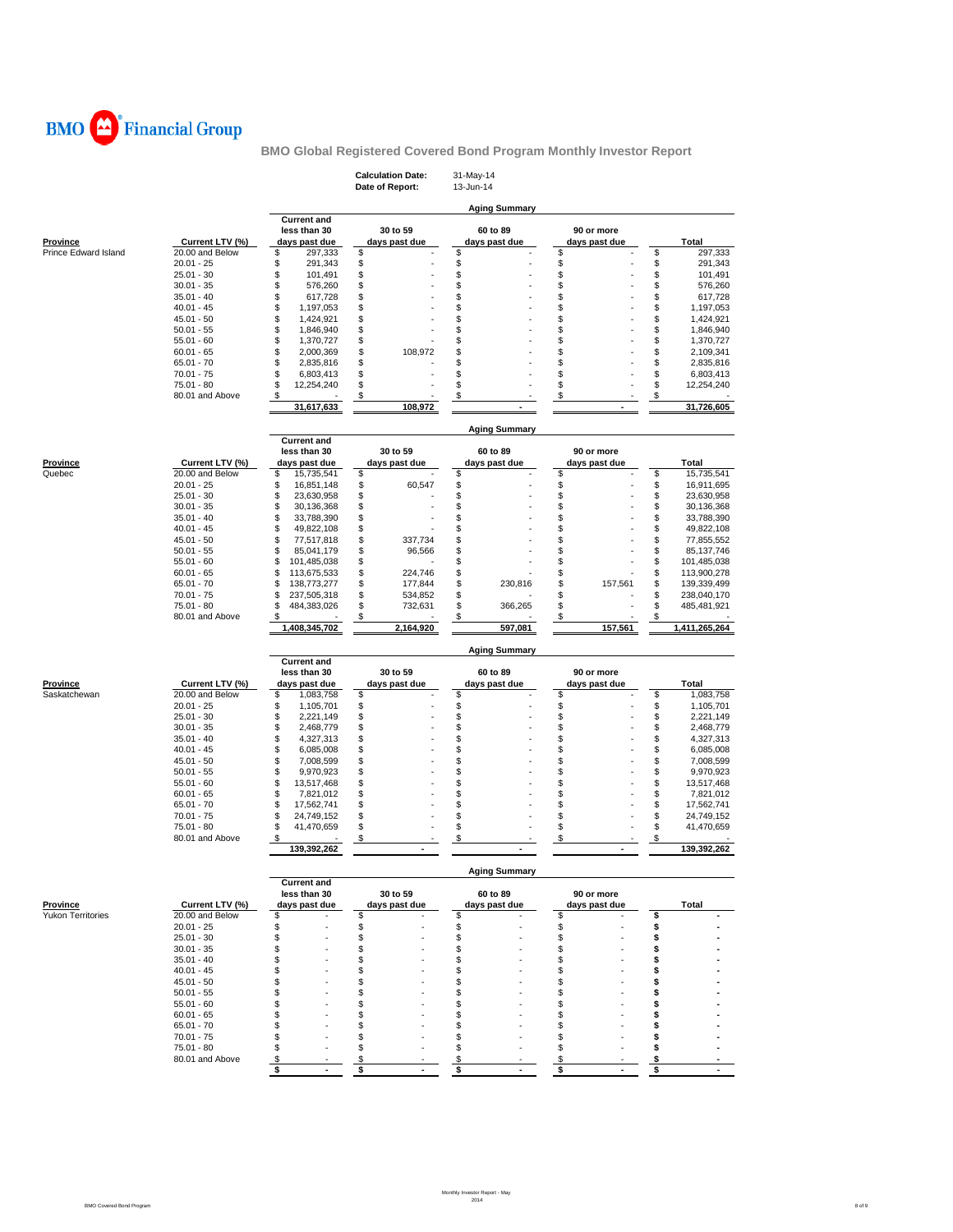

|                          |                                 |                                      | <b>Calculation Date:</b><br>Date of Report: | 31-May-14<br>13-Jun-14         |                             |                                      |
|--------------------------|---------------------------------|--------------------------------------|---------------------------------------------|--------------------------------|-----------------------------|--------------------------------------|
|                          |                                 | <b>Current and</b>                   |                                             | <b>Aging Summary</b>           |                             |                                      |
| <b>Province</b>          | Current LTV (%)                 | less than 30<br>days past due        | 30 to 59<br>days past due                   | 60 to 89<br>days past due      | 90 or more<br>days past due | <b>Total</b>                         |
| Prince Edward Island     | 20.00 and Below                 | \$<br>297,333                        | \$                                          | \$                             | \$                          | \$<br>297,333                        |
|                          | $20.01 - 25$                    | \$<br>291.343                        | \$                                          | \$                             | \$                          | \$<br>291,343                        |
|                          | $25.01 - 30$                    | \$<br>101,491                        | \$                                          | \$                             | \$                          | \$<br>101,491                        |
|                          | $30.01 - 35$                    | \$<br>576,260                        | \$                                          | \$<br>\$                       | \$                          | \$<br>576,260                        |
|                          | $35.01 - 40$                    | \$<br>617,728<br>\$                  | \$<br>\$                                    |                                | \$<br>\$                    | \$<br>617,728<br>\$                  |
|                          | $40.01 - 45$<br>$45.01 - 50$    | 1,197,053<br>\$<br>1,424,921         | \$                                          | \$<br>\$                       | \$                          | 1,197,053<br>\$<br>1,424,921         |
|                          | $50.01 - 55$                    | \$<br>1,846,940                      | \$                                          | S                              | \$                          | \$<br>1,846,940                      |
|                          | $55.01 - 60$                    | \$<br>1,370,727                      | \$                                          | S                              | \$                          | \$<br>1,370,727                      |
|                          | $60.01 - 65$                    | \$<br>2,000,369                      | \$<br>108,972                               | \$                             | \$                          | \$<br>2,109,341                      |
|                          | $65.01 - 70$                    | \$<br>2,835,816                      | \$                                          | \$                             | \$                          | \$<br>2,835,816                      |
|                          | $70.01 - 75$                    | \$<br>6,803,413                      | \$                                          | S                              | \$                          | \$<br>6,803,413                      |
|                          | 75.01 - 80                      | \$<br>12,254,240                     | \$                                          | \$                             | \$                          | \$<br>12,254,240                     |
|                          | 80.01 and Above                 | \$                                   | \$                                          | \$<br>$\overline{\phantom{a}}$ | \$                          | \$                                   |
|                          |                                 | 31,617,633                           | 108,972                                     |                                |                             | 31,726,605                           |
|                          |                                 | <b>Current and</b>                   |                                             | <b>Aging Summary</b>           |                             |                                      |
|                          |                                 | less than 30                         | 30 to 59                                    | 60 to 89                       | 90 or more                  |                                      |
| <b>Province</b>          | Current LTV (%)                 | days past due                        | days past due                               | days past due                  | days past due               | <b>Total</b>                         |
| Quebec                   | 20.00 and Below                 | \$<br>15,735,541                     | \$                                          | \$                             | \$                          | \$<br>15,735,541                     |
|                          | $20.01 - 25$                    | \$<br>16,851,148                     | \$<br>60,547                                | \$                             | \$                          | \$<br>16,911,695                     |
|                          | $25.01 - 30$<br>$30.01 - 35$    | \$<br>23,630,958<br>\$               | \$                                          | \$<br>\$                       | \$<br>\$                    | \$<br>23,630,958                     |
|                          | $35.01 - 40$                    | 30,136,368<br>\$<br>33,788,390       | \$<br>\$                                    | \$                             | \$                          | \$<br>30,136,368<br>\$<br>33,788,390 |
|                          | $40.01 - 45$                    | \$<br>49,822,108                     | \$                                          | \$                             | \$                          | \$<br>49,822,108                     |
|                          | $45.01 - 50$                    | \$<br>77,517,818                     | \$<br>337,734                               | \$                             | \$                          | \$<br>77,855,552                     |
|                          | $50.01 - 55$                    | \$<br>85,041,179                     | \$<br>96,566                                | \$                             | \$                          | \$<br>85, 137, 746                   |
|                          | $55.01 - 60$                    | \$<br>101,485,038                    | \$                                          | \$                             | \$                          | \$<br>101,485,038                    |
|                          | $60.01 - 65$                    | \$<br>113,675,533                    | \$<br>224,746                               | \$                             | \$                          | \$<br>113,900,278                    |
|                          | $65.01 - 70$                    | \$<br>138,773,277                    | \$<br>177,844                               | \$<br>230,816                  | \$<br>157,561               | \$<br>139,339,499                    |
|                          | $70.01 - 75$                    | \$<br>237,505,318                    | \$<br>534,852                               | \$                             | \$                          | \$<br>238,040,170                    |
|                          | 75.01 - 80<br>80.01 and Above   | \$<br>484,383,026<br>\$              | \$<br>732,631<br>\$                         | \$<br>366,265<br>\$            | \$<br>\$                    | \$<br>485,481,921<br>\$              |
|                          |                                 | 1,408,345,702                        | 2,164,920                                   | 597,081                        | 157,561                     | 1,411,265,264                        |
|                          |                                 |                                      |                                             |                                |                             |                                      |
|                          |                                 | <b>Current and</b>                   |                                             | <b>Aging Summary</b>           |                             |                                      |
|                          |                                 | less than 30                         | 30 to 59                                    | 60 to 89                       | 90 or more                  |                                      |
| <b>Province</b>          | Current LTV (%)                 | days past due                        | days past due                               | days past due                  | days past due               | Total                                |
| Saskatchewan             | 20.00 and Below<br>$20.01 - 25$ | \$<br>1,083,758<br>\$<br>1,105,701   | \$<br>\$                                    | \$<br>\$                       | \$<br>\$                    | \$<br>1,083,758<br>\$<br>1,105,701   |
|                          | $25.01 - 30$                    | \$<br>2,221,149                      | \$                                          | \$                             | \$                          | \$<br>2,221,149                      |
|                          | $30.01 - 35$                    | \$<br>2,468,779                      | \$                                          | \$                             | \$                          | \$<br>2,468,779                      |
|                          | $35.01 - 40$                    | \$<br>4,327,313                      | \$                                          | \$                             | \$                          | \$<br>4,327,313                      |
|                          | $40.01 - 45$                    | \$<br>6,085,008                      | \$                                          | S                              | \$                          | \$<br>6,085,008                      |
|                          | $45.01 - 50$                    | \$<br>7,008,599                      | \$                                          | S                              | \$                          | \$<br>7,008,599                      |
|                          | $50.01 - 55$                    | \$<br>9,970,923                      | \$                                          | \$                             | \$                          | \$<br>9,970,923                      |
|                          | $55.01 - 60$                    | \$<br>13,517,468                     | \$                                          | \$                             | \$                          | \$<br>13,517,468                     |
|                          | $60.01 - 65$                    | \$<br>7,821,012                      | \$                                          | \$                             | \$                          | \$<br>7,821,012                      |
|                          | $65.01 - 70$                    | \$<br>17,562,741                     | \$                                          | \$                             | \$                          | \$<br>17,562,741                     |
|                          | $70.01 - 75$<br>$75.01 - 80$    | \$<br>24,749,152<br>\$<br>41,470,659 | \$<br>\$                                    | \$<br>\$                       | \$<br>\$                    | \$<br>24,749,152<br>\$<br>41,470,659 |
|                          | 80.01 and Above                 | \$                                   | $\frac{1}{2}$                               | \$                             | \$                          | \$                                   |
|                          |                                 | 139,392,262                          |                                             |                                |                             | 139,392,262                          |
|                          |                                 |                                      |                                             | Aging Summary                  |                             |                                      |
|                          |                                 | <b>Current and</b><br>less than 30   | 30 to 59                                    | 60 to 89                       | 90 or more                  |                                      |
| Province                 | Current LTV (%)                 | days past due                        | days past due                               | days past due                  | days past due               | Total                                |
| <b>Yukon Territories</b> | 20.00 and Below                 | \$                                   | \$                                          | \$                             | \$                          | \$                                   |
|                          |                                 | \$                                   | \$                                          | \$                             | \$                          | \$                                   |
|                          | $20.01 - 25$                    |                                      |                                             | \$                             | \$                          | \$                                   |
|                          | $25.01 - 30$                    | \$                                   | \$                                          |                                |                             |                                      |
|                          | $30.01 - 35$                    | \$                                   | \$                                          | \$                             | \$                          | \$                                   |
|                          | $35.01 - 40$                    | \$                                   | \$                                          | S                              | \$                          | S                                    |
|                          | $40.01 - 45$                    | \$                                   | \$                                          | S                              | \$                          | S                                    |
|                          | $45.01 - 50$                    | \$                                   | \$                                          | S<br>S                         | \$                          | S                                    |
|                          | $50.01 - 55$<br>$55.01 - 60$    | \$<br>\$                             | \$<br>\$                                    | S                              | \$<br>\$                    |                                      |
|                          | $60.01 - 65$                    | \$                                   | \$                                          | \$                             | \$                          | S                                    |
|                          | $65.01 - 70$                    | \$                                   | \$                                          | S                              | \$                          | \$                                   |
|                          | $70.01 - 75$                    | \$                                   | \$                                          | \$                             | \$                          | S                                    |
|                          | 75.01 - 80                      | S                                    | \$                                          | S                              | \$                          | \$                                   |
|                          | 80.01 and Above                 | \$<br>\$                             | \$<br>\$<br>$\overline{\phantom{a}}$        | S<br>\$<br>٠                   | \$<br>\$<br>$\blacksquare$  | \$<br>\$                             |